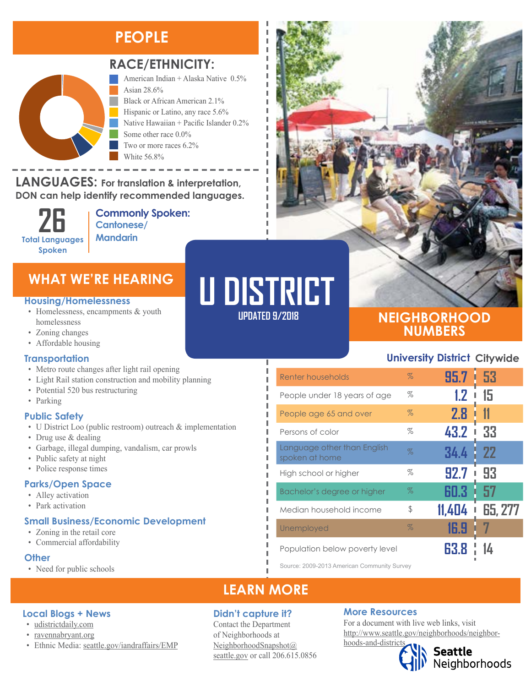### **PEOPLE**



### **RACE/ETHNICITY:**

American Indian + Alaska Native 0.5% Asian 28.6% Black or African American 2.1% Hispanic or Latino, any race 5.6% Native Hawaiian + Pacific Islander 0.2% Some other race 0.0% Two or more races 6.2%

**LANGUAGES:** For translation & interpretation, DON can help identify recommended languages. NANG URUPIYAN AND DI

> **26 Total Languages Spoken**

American Indian and Alaska Native Asian

**Commonly Spoken: Cantonese/ Mandarin**

White 56.8%

#### **Housing/Homelessness**

- Homelessness, encampments & youth homelessness
- Zoning changes
- Affordable housing

#### **Transportation**

- Metro route changes after light rail opening
- Light Rail station construction and mobility planning
- Potential 520 bus restructuring
- Parking

#### **Public Safety**

- U District Loo (public restroom) outreach & implementation
- Drug use & dealing
- Garbage, illegal dumping, vandalism, car prowls
- Public safety at night
- Police response times

#### **Parks/Open Space**

- Alley activation
- Park activation

### **Small Business/Economic Development**

• Ethnic Media: [seattle.gov/iandraffairs/EMP](http://www.seattle.gov/iandraffairs/EMP)

- Zoning in the retail core
- Commercial affordability

### **Other**

• Need for public schools

**Local Blogs + News** • [udistrictdaily.com](https://udistrictdaily.com/) • [ravennabryant.org](http://www.ravennabryant.org/)

# WHAT WE'RE HEARING<br>**Fousing/Homelessness UPDATED 9/2018**

Л

### **NEIGHBORHOOD NUMBERS**

### **University District Citywide**

| Renter households                             | $\%$ | 95.7 53   |                |
|-----------------------------------------------|------|-----------|----------------|
| People under 18 years of age                  | %    | 1.2       | 15             |
| People age 65 and over                        | $\%$ | 2.8       | 11             |
| Persons of color                              | %    | 43.2      | 33             |
| Language other than English<br>spoken at home | $\%$ | 34.4<br>H | -22            |
| High school or higher                         | %    | 92.7      | 93             |
| Bachelor's degree or higher                   | $\%$ | 60.3      | 57<br>i        |
| Median household income                       | \$   | 11,404    | <b>65, 277</b> |
| Unemployed                                    | $\%$ | 16.9      |                |
| Population below poverty level                |      |           |                |

Source: 2009-2013 American Community Survey

### **LEARN MORE**

### **Didn't capture it?**

Contact the Department of Neighborhoods at [NeighborhoodSnapshot@](mailto:NeighborhoodSnapshot%40%0Aseattle.gov?subject=) [seattle.gov](mailto:NeighborhoodSnapshot%40%0Aseattle.gov?subject=) or call 206.615.0856

### **More Resources**

For a document with live web links, visit [http://www.seattle.gov/neighborhoods/neighbor](http://www.seattle.gov/neighborhoods/neighborhoods-and-districts)[hoods-and-districts](http://www.seattle.gov/neighborhoods/neighborhoods-and-districts)

**Seattle**<br>Neighborhoods